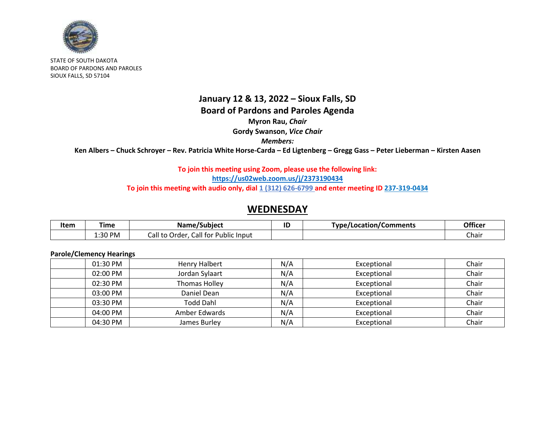

STATE OF SOUTH DAKOTA BOARD OF PARDONS AND PAROLES SIOUX FALLS, SD 57104

# **January 12 & 13, 2022 – Sioux Falls, SD Board of Pardons and Paroles Agenda**

**Myron Rau,** *Chair*

**Gordy Swanson,** *Vice Chair*

*Members:*

**Ken Albers – Chuck Schroyer – Rev. Patricia White Horse-Carda – Ed Ligtenberg – Gregg Gass – Peter Lieberman – Kirsten Aasen**

## **To join this meeting using Zoom, please use the following link:**

**<https://us02web.zoom.us/j/2373190434>**

**To join this meeting with audio only, dial 1 (312) 626-6799 and enter meeting ID 237-319-0434**

## **WEDNESDAY**

| Item | . ime   | Name/Subject                           | ID | Type/Location/Comments | Officer |
|------|---------|----------------------------------------|----|------------------------|---------|
|      | 1:30 PM | Call for Public Input<br>Lall to Order |    |                        | Chair   |

## **Parole/Clemency Hearings**

| 01:30 PM   | Henry Halbert    | N/A | Exceptional | Chair |
|------------|------------------|-----|-------------|-------|
| $02:00$ PM | Jordan Sylaart   | N/A | Exceptional | Chair |
| 02:30 PM   | Thomas Holley    | N/A | Exceptional | Chair |
| 03:00 PM   | Daniel Dean      | N/A | Exceptional | Chair |
| 03:30 PM   | <b>Todd Dahl</b> | N/A | Exceptional | Chair |
| 04:00 PM   | Amber Edwards    | N/A | Exceptional | Chair |
| 04:30 PM   | James Burley     | N/A | Exceptional | Chair |